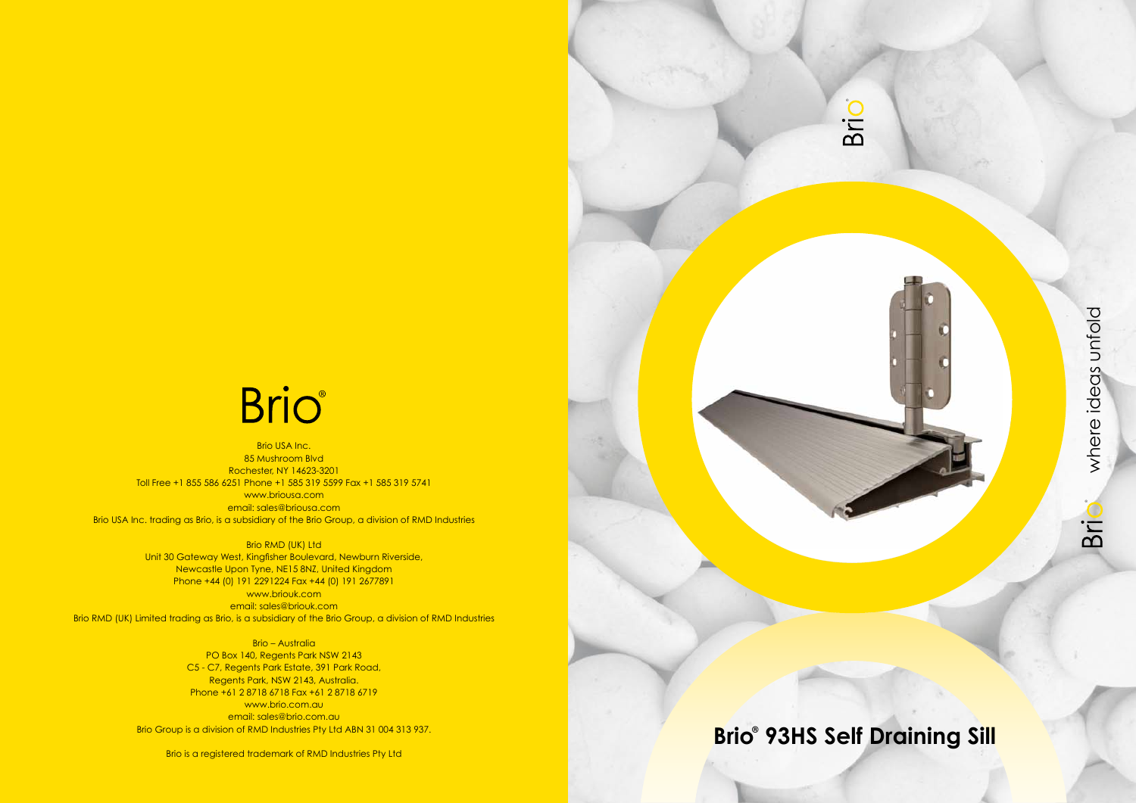

## **Brio 93HS Self Draining Sill ®**

# **Brio**

Brio USA Inc. 85 Mushroom Blvd Rochester, NY 14623-3201 Toll Free +1 855 586 6251 Phone +1 585 319 5599 Fax +1 585 319 5741 www.briousa.com email: sales@briousa.com Brio USA Inc. trading as Brio, is a subsidiary of the Brio Group, a division of RMD Industries

> Brio RMD (UK) Ltd Unit 30 Gateway West, Kingfisher Boulevard, Newburn Riverside, Newcastle Upon Tyne, NE15 8NZ, United Kingdom Phone +44 (0) 191 2291224 Fax +44 (0) 191 2677891

www.briouk.com email: sales@briouk.com Brio RMD (UK) Limited trading as Brio, is a subsidiary of the Brio Group, a division of RMD Industries

> Brio – Australia PO Box 140, Regents Park NSW 2143 C5 - C7, Regents Park Estate, 391 Park Road, Regents Park, NSW 2143, Australia. Phone +61 2 8718 6718 Fax +61 2 8718 6719 www.brio.com.au email: sales@brio.com.au Brio Group is a division of RMD Industries Pty Ltd ABN 31 004 313 937.

Brio is a registered trademark of RMD Industries Pty Ltd